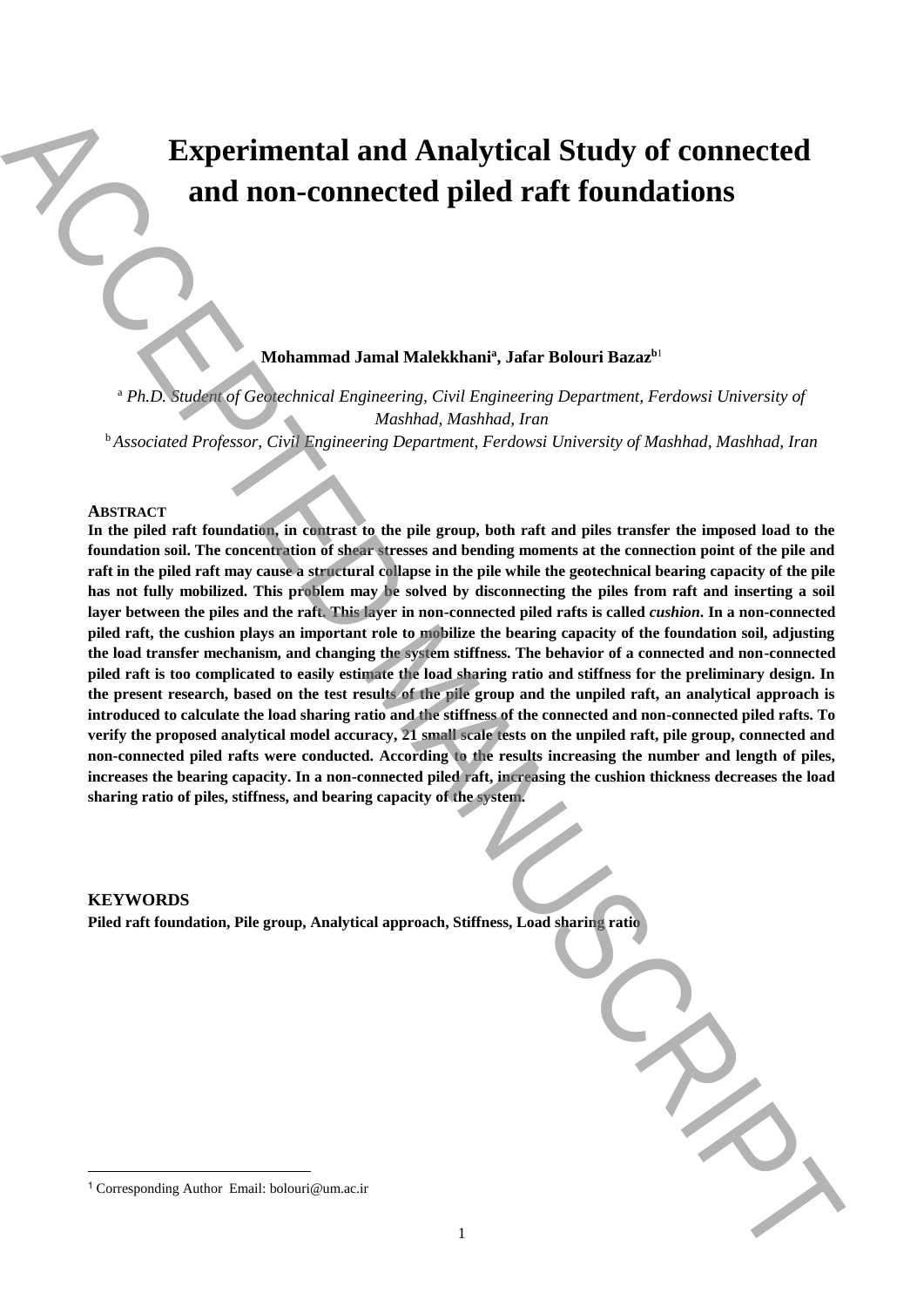# **Experimental and Analytical Study of connected and non-connected piled raft foundations**

**Mohammad Jamal Malekkhani<sup>a</sup> , Jafar Bolouri Bazaz<sup>b</sup>**<sup>1</sup>

<sup>a</sup> *Ph.D. Student of Geotechnical Engineering, Civil Engineering Department, Ferdowsi University of Mashhad, Mashhad, Iran*

<sup>b</sup>*Associated Professor, Civil Engineering Department, Ferdowsi University of Mashhad, Mashhad, Iran*

## **ABSTRACT**

In the piled raft foundation, in contrast to the pile group, both raft and piles transfer the imposed load to the **foundation soil. The concentration of shear stresses and bending moments at the connection point of the pile and raft in the piled raft may cause a structural collapse in the pile while the geotechnical bearing capacity of the pile has not fully mobilized. This problem may be solved by disconnecting the piles from raft and inserting a soil layer between the piles and the raft. This layer in non-connected piled rafts is called** *cushion***. In a non-connected piled raft, the cushion plays an important role to mobilize the bearing capacity of the foundation soil, adjusting the load transfer mechanism, and changing the system stiffness. The behavior of a connected and non-connected piled raft is too complicated to easily estimate the load sharing ratio and stiffness for the preliminary design. In the present research, based on the test results of the pile group and the unpiled raft, an analytical approach is introduced to calculate the load sharing ratio and the stiffness of the connected and non-connected piled rafts. To verify the proposed analytical model accuracy, 21 small scale tests on the unpiled raft, pile group, connected and non-connected piled rafts were conducted. According to the results increasing the number and length of piles, increases the bearing capacity. In a non-connected piled raft, increasing the cushion thickness decreases the load sharing ratio of piles, stiffness, and bearing capacity of the system. Experimental and Analytical Study of connected<br>and non-connected piled raft foundations**<br>and non-connected piled raft foundations<br> $\frac{1}{2}$ <br> $\frac{1}{2}$ <br> $\frac{1}{2}$ <br> $\frac{1}{2}$ <br> $\frac{1}{2}$ <br> $\frac{1}{2}$ <br> $\frac{1}{2}$ <br> $\frac{1}{2}$ <br> $\frac{1}{2}$ <br>

### **KEYWORDS**

**.** 

**Piled raft foundation, Pile group, Analytical approach, Stiffness, Load sharing ratio**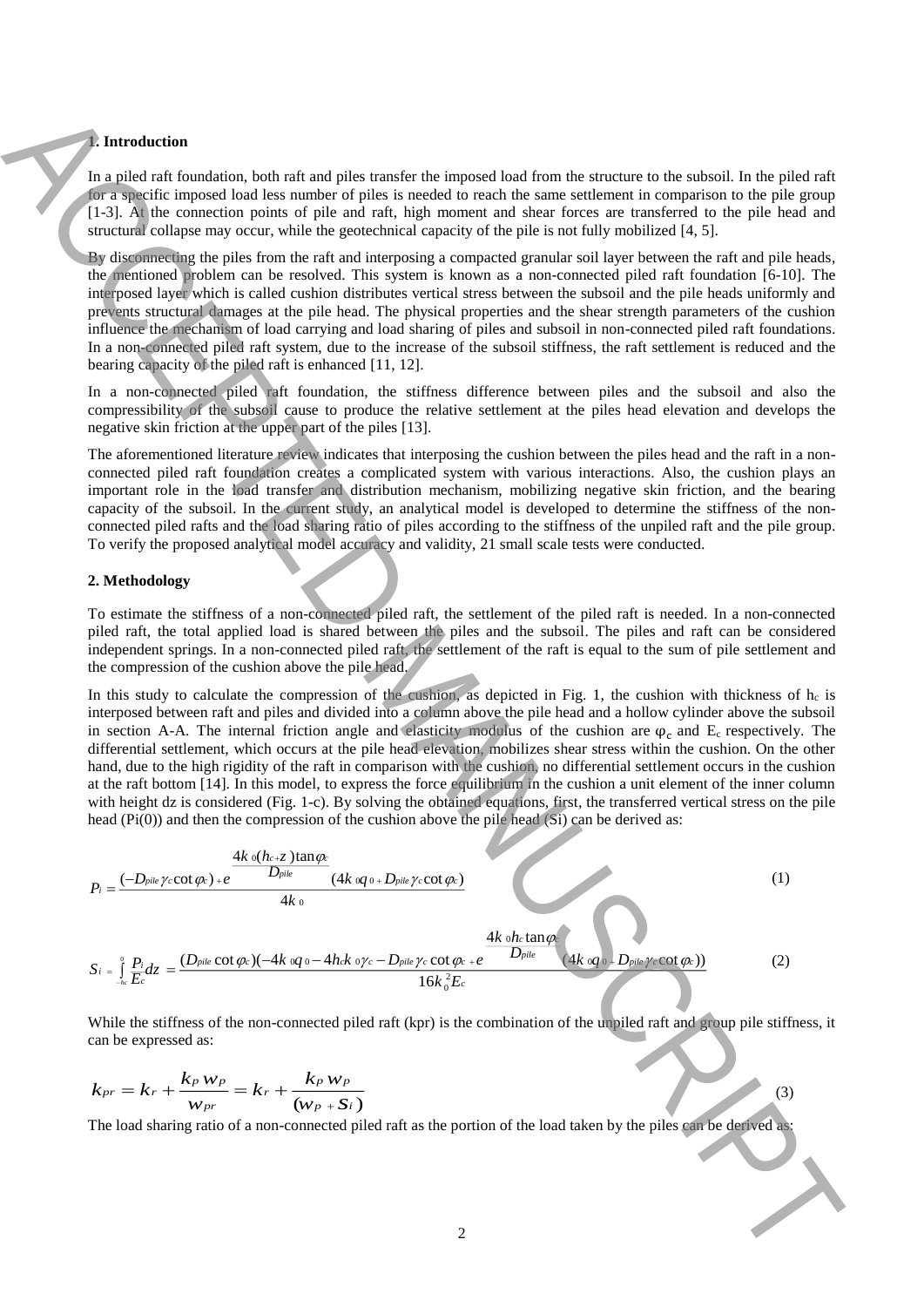### **1. Introduction**

In a piled raft foundation, both raft and piles transfer the imposed load from the structure to the subsoil. In the piled raft for a specific imposed load less number of piles is needed to reach the same settlement in comparison to the pile group [1-3]. At the connection points of pile and raft, high moment and shear forces are transferred to the pile head and structural collapse may occur, while the geotechnical capacity of the pile is not fully mobilized [4, 5].

By disconnecting the piles from the raft and interposing a compacted granular soil layer between the raft and pile heads, the mentioned problem can be resolved. This system is known as a non-connected piled raft foundation [6-10]. The interposed layer which is called cushion distributes vertical stress between the subsoil and the pile heads uniformly and prevents structural damages at the pile head. The physical properties and the shear strength parameters of the cushion influence the mechanism of load carrying and load sharing of piles and subsoil in non-connected piled raft foundations. In a non-connected piled raft system, due to the increase of the subsoil stiffness, the raft settlement is reduced and the bearing capacity of the piled raft is enhanced [11, 12].

In a non-connected piled raft foundation, the stiffness difference between piles and the subsoil and also the compressibility of the subsoil cause to produce the relative settlement at the piles head elevation and develops the negative skin friction at the upper part of the piles [13].

The aforementioned literature review indicates that interposing the cushion between the piles head and the raft in a nonconnected piled raft foundation creates a complicated system with various interactions. Also, the cushion plays an important role in the load transfer and distribution mechanism, mobilizing negative skin friction, and the bearing capacity of the subsoil. In the current study, an analytical model is developed to determine the stiffness of the nonconnected piled rafts and the load sharing ratio of piles according to the stiffness of the unpiled raft and the pile group. To verify the proposed analytical model accuracy and validity, 21 small scale tests were conducted.

## **2. Methodology**

To estimate the stiffness of a non-connected piled raft, the settlement of the piled raft is needed. In a non-connected piled raft, the total applied load is shared between the piles and the subsoil. The piles and raft can be considered independent springs. In a non-connected piled raft, the settlement of the raft is equal to the sum of pile settlement and the compression of the cushion above the pile head.

In this study to calculate the compression of the cushion, as depicted in Fig. 1, the cushion with thickness of  $h_c$  is interposed between raft and piles and divided into a column above the pile head and a hollow cylinder above the subsoil in section A-A. The internal friction angle and elasticity modulus of the cushion are  $\varphi_c$  and E<sub>c</sub> respectively. The differential settlement, which occurs at the pile head elevation, mobilizes shear stress within the cushion. On the other hand, due to the high rigidity of the raft in comparison with the cushion, no differential settlement occurs in the cushion at the raft bottom [14]. In this model, to express the force equilibrium in the cushion a unit element of the inner column with height dz is considered (Fig. 1-c). By solving the obtained equations, first, the transferred vertical stress on the pile head (Pi(0)) and then the compression of the cushion above the pile head (Si) can be derived as:



While the stiffness of the non-connected piled raft (kpr) is the combination of the unpiled raft and group pile stiffness, it can be expressed as:

$$
k_{pr} = k_r + \frac{k_p w_p}{w_{pr}} = k_r + \frac{k_p w_p}{(w_p + S_i)}
$$
\n
$$
(3)
$$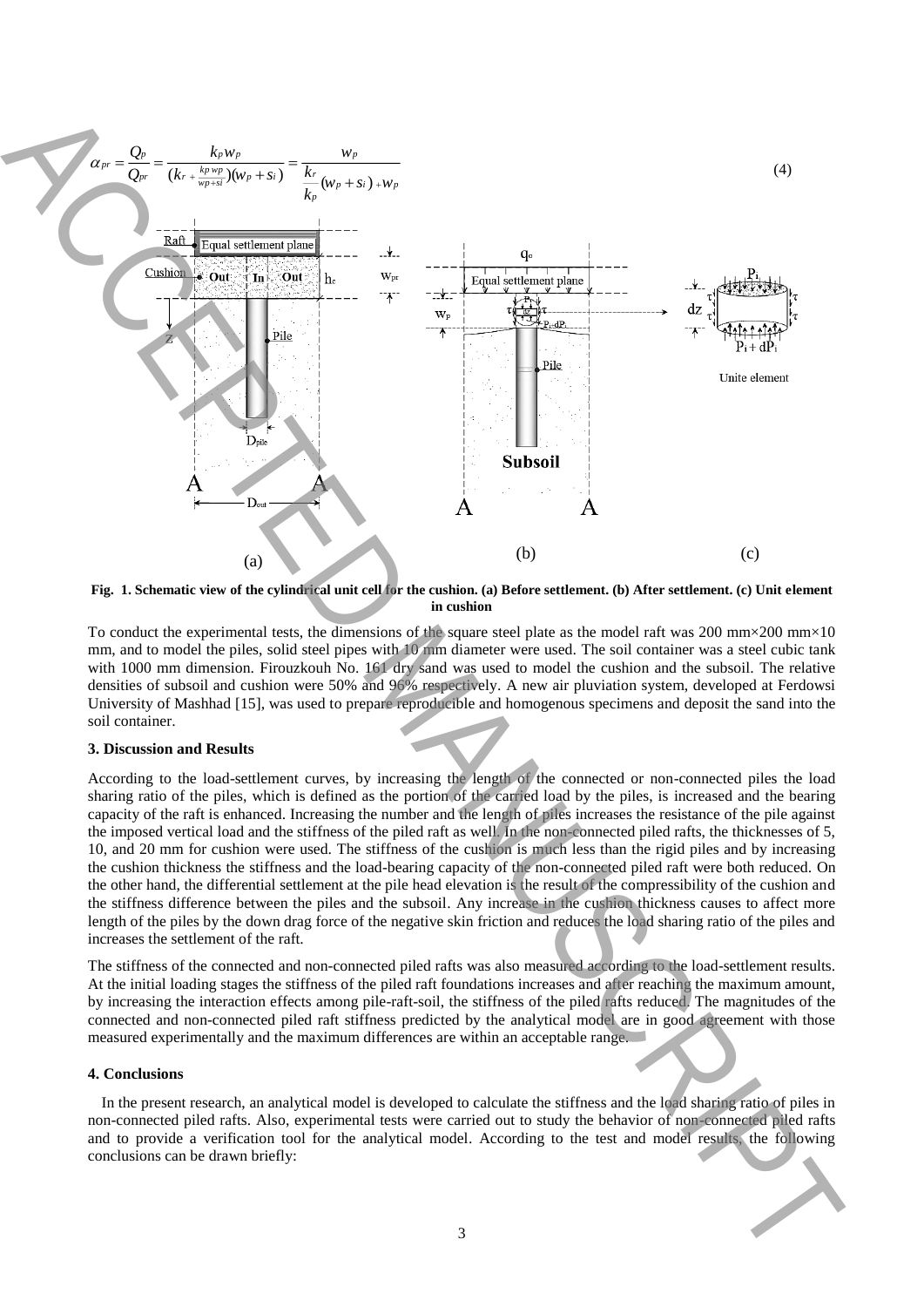

**Fig. 1. Schematic view of the cylindrical unit cell for the cushion. (a) Before settlement. (b) After settlement. (c) Unit element in cushion**

To conduct the experimental tests, the dimensions of the square steel plate as the model raft was 200 mm $\times$ 200 mm $\times$ 10 mm, and to model the piles, solid steel pipes with 10 mm diameter were used. The soil container was a steel cubic tank with 1000 mm dimension. Firouzkouh No. 161 dry sand was used to model the cushion and the subsoil. The relative densities of subsoil and cushion were 50% and 96% respectively. A new air pluviation system, developed at Ferdowsi University of Mashhad [15], was used to prepare reproducible and homogenous specimens and deposit the sand into the soil container.

## **3. Discussion and Results**

According to the load-settlement curves, by increasing the length of the connected or non-connected piles the load sharing ratio of the piles, which is defined as the portion of the carried load by the piles, is increased and the bearing capacity of the raft is enhanced. Increasing the number and the length of piles increases the resistance of the pile against the imposed vertical load and the stiffness of the piled raft as well. In the non-connected piled rafts, the thicknesses of 5, 10, and 20 mm for cushion were used. The stiffness of the cushion is much less than the rigid piles and by increasing the cushion thickness the stiffness and the load-bearing capacity of the non-connected piled raft were both reduced. On the other hand, the differential settlement at the pile head elevation is the result of the compressibility of the cushion and the stiffness difference between the piles and the subsoil. Any increase in the cushion thickness causes to affect more length of the piles by the down drag force of the negative skin friction and reduces the load sharing ratio of the piles and increases the settlement of the raft.

The stiffness of the connected and non-connected piled rafts was also measured according to the load-settlement results. At the initial loading stages the stiffness of the piled raft foundations increases and after reaching the maximum amount, by increasing the interaction effects among pile-raft-soil, the stiffness of the piled rafts reduced. The magnitudes of the connected and non-connected piled raft stiffness predicted by the analytical model are in good agreement with those measured experimentally and the maximum differences are within an acceptable range.

#### **4. Conclusions**

 In the present research, an analytical model is developed to calculate the stiffness and the load sharing ratio of piles in non-connected piled rafts. Also, experimental tests were carried out to study the behavior of non-connected piled rafts and to provide a verification tool for the analytical model. According to the test and model results, the following